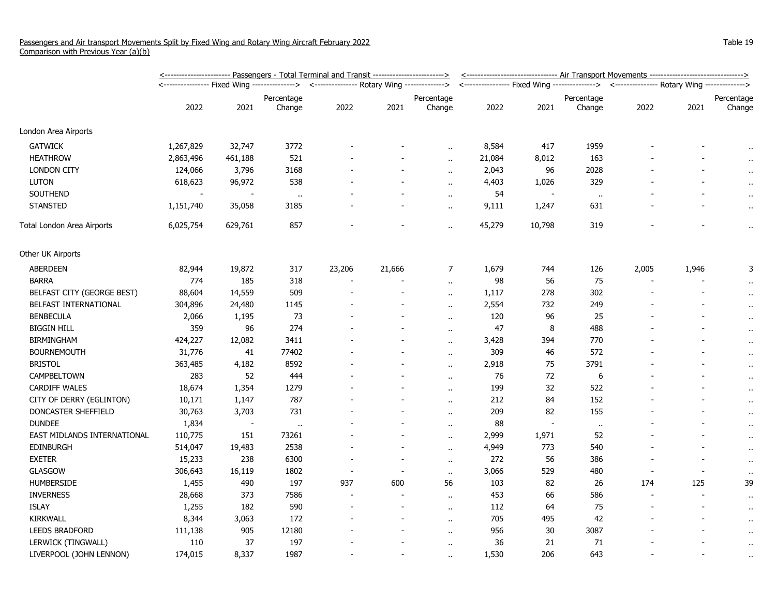|                             | <u>&lt;----------------------- Passengers - Total Terminal and Transit ------------------------&gt;</u> | <--------------------------------- Air Transport Movements --------------------------------> |            |                                             |        |                      |                                                                                            |        |            |       |       |                      |
|-----------------------------|---------------------------------------------------------------------------------------------------------|----------------------------------------------------------------------------------------------|------------|---------------------------------------------|--------|----------------------|--------------------------------------------------------------------------------------------|--------|------------|-------|-------|----------------------|
|                             |                                                                                                         |                                                                                              |            | <--------------- Rotary Wing -------------> |        |                      | <---------------- Fixed Wing ---------------> <--------------- Rotary Wing --------------> |        |            |       |       |                      |
|                             |                                                                                                         |                                                                                              | Percentage |                                             |        | Percentage           |                                                                                            |        | Percentage |       |       | Percentage           |
|                             | 2022                                                                                                    | 2021                                                                                         | Change     | 2022                                        | 2021   | Change               | 2022                                                                                       | 2021   | Change     | 2022  | 2021  | Change               |
| London Area Airports        |                                                                                                         |                                                                                              |            |                                             |        |                      |                                                                                            |        |            |       |       |                      |
| <b>GATWICK</b>              | 1,267,829                                                                                               | 32,747                                                                                       | 3772       |                                             |        |                      | 8,584                                                                                      | 417    | 1959       |       |       |                      |
| <b>HEATHROW</b>             | 2,863,496                                                                                               | 461,188                                                                                      | 521        |                                             |        | $\ddot{\phantom{a}}$ | 21,084                                                                                     | 8,012  | 163        |       |       | $\sim$               |
| <b>LONDON CITY</b>          | 124,066                                                                                                 | 3,796                                                                                        | 3168       |                                             |        | $\ddotsc$            | 2,043                                                                                      | 96     | 2028       |       |       |                      |
| <b>LUTON</b>                | 618,623                                                                                                 | 96,972                                                                                       | 538        |                                             |        |                      | 4,403                                                                                      | 1,026  | 329        |       |       |                      |
| SOUTHEND                    |                                                                                                         |                                                                                              | $\cdots$   |                                             |        | $\alpha$             | 54                                                                                         |        | $\cdot$ .  |       |       | $\bullet$            |
| <b>STANSTED</b>             | 1,151,740                                                                                               | 35,058                                                                                       | 3185       |                                             |        | $\alpha$             | 9,111                                                                                      | 1,247  | 631        |       |       | $\cdot$ .            |
| Total London Area Airports  | 6,025,754                                                                                               | 629,761                                                                                      | 857        |                                             |        | $\alpha$             | 45,279                                                                                     | 10,798 | 319        |       |       | $\bullet$ .          |
| Other UK Airports           |                                                                                                         |                                                                                              |            |                                             |        |                      |                                                                                            |        |            |       |       |                      |
| <b>ABERDEEN</b>             | 82,944                                                                                                  | 19,872                                                                                       | 317        | 23,206                                      | 21,666 | 7                    | 1,679                                                                                      | 744    | 126        | 2,005 | 1,946 | 3                    |
| <b>BARRA</b>                | 774                                                                                                     | 185                                                                                          | 318        |                                             |        | $\alpha$             | 98                                                                                         | 56     | 75         |       |       |                      |
| BELFAST CITY (GEORGE BEST)  | 88,604                                                                                                  | 14,559                                                                                       | 509        |                                             |        |                      | 1,117                                                                                      | 278    | 302        |       |       | $\ddot{\phantom{1}}$ |
| BELFAST INTERNATIONAL       | 304,896                                                                                                 | 24,480                                                                                       | 1145       |                                             |        | $\alpha$             | 2,554                                                                                      | 732    | 249        |       |       | $\cdot$ .            |
| <b>BENBECULA</b>            | 2,066                                                                                                   | 1,195                                                                                        | 73         |                                             |        | $\alpha$             | 120                                                                                        | 96     | 25         |       |       | $\cdot$ .            |
| <b>BIGGIN HILL</b>          | 359                                                                                                     | 96                                                                                           | 274        |                                             |        |                      | 47                                                                                         | 8      | 488        |       |       | $\alpha$             |
| <b>BIRMINGHAM</b>           | 424,227                                                                                                 | 12,082                                                                                       | 3411       |                                             |        | $\ddot{\phantom{a}}$ | 3,428                                                                                      | 394    | 770        |       |       | $\cdot$              |
| <b>BOURNEMOUTH</b>          | 31,776                                                                                                  | 41                                                                                           | 77402      |                                             |        | $\ddot{\phantom{a}}$ | 309                                                                                        | 46     | 572        |       |       | $\cdot$ .            |
| <b>BRISTOL</b>              | 363,485                                                                                                 | 4,182                                                                                        | 8592       |                                             |        | $\ddot{\phantom{a}}$ | 2,918                                                                                      | 75     | 3791       |       |       | $\ddot{\phantom{1}}$ |
| CAMPBELTOWN                 | 283                                                                                                     | 52                                                                                           | 444        |                                             |        | $\ddot{\phantom{1}}$ | 76                                                                                         | 72     | 6          |       |       | $\cdot$ .            |
| <b>CARDIFF WALES</b>        | 18,674                                                                                                  | 1,354                                                                                        | 1279       |                                             |        | $\ddot{\phantom{a}}$ | 199                                                                                        | 32     | 522        |       |       | $\cdot$ .            |
| CITY OF DERRY (EGLINTON)    | 10,171                                                                                                  | 1,147                                                                                        | 787        |                                             |        | $\ddot{\phantom{1}}$ | 212                                                                                        | 84     | 152        |       |       | $\ddot{\phantom{1}}$ |
| DONCASTER SHEFFIELD         | 30,763                                                                                                  | 3,703                                                                                        | 731        |                                             |        | $\alpha$ .           | 209                                                                                        | 82     | 155        |       |       | $\cdot$              |
| <b>DUNDEE</b>               | 1,834                                                                                                   | $\overline{\phantom{a}}$                                                                     | $\cdots$   |                                             |        | $\ddot{\phantom{a}}$ | 88                                                                                         | $\sim$ | $\cdot$    |       |       | $\cdot$              |
| EAST MIDLANDS INTERNATIONAL | 110,775                                                                                                 | 151                                                                                          | 73261      |                                             |        | $\ddotsc$            | 2,999                                                                                      | 1,971  | 52         |       |       | $\ddot{\phantom{1}}$ |
| EDINBURGH                   | 514,047                                                                                                 | 19,483                                                                                       | 2538       |                                             |        | $\ddot{\phantom{1}}$ | 4,949                                                                                      | 773    | 540        |       |       | $\cdot$ .            |
| <b>EXETER</b>               | 15,233                                                                                                  | 238                                                                                          | 6300       |                                             | $\sim$ | $\ddot{\phantom{1}}$ | 272                                                                                        | 56     | 386        |       |       | $\cdot$ .            |
| <b>GLASGOW</b>              | 306,643                                                                                                 | 16,119                                                                                       | 1802       |                                             |        | $\ddot{\phantom{a}}$ | 3,066                                                                                      | 529    | 480        |       |       | $\bullet$ .          |
| <b>HUMBERSIDE</b>           | 1,455                                                                                                   | 490                                                                                          | 197        | 937                                         | 600    | 56                   | 103                                                                                        | 82     | 26         | 174   | 125   | 39                   |
| <b>INVERNESS</b>            | 28,668                                                                                                  | 373                                                                                          | 7586       |                                             |        | $\ddot{\phantom{a}}$ | 453                                                                                        | 66     | 586        |       |       | $\cdot$              |
| <b>ISLAY</b>                | 1,255                                                                                                   | 182                                                                                          | 590        |                                             |        | $\ddot{\phantom{a}}$ | 112                                                                                        | 64     | 75         |       |       | $\cdot$ .            |
| KIRKWALL                    | 8,344                                                                                                   | 3,063                                                                                        | 172        |                                             |        | $\ddot{\phantom{1}}$ | 705                                                                                        | 495    | 42         |       |       | $\cdot$ .            |
| <b>LEEDS BRADFORD</b>       | 111,138                                                                                                 | 905                                                                                          | 12180      |                                             |        | $\ddot{\phantom{1}}$ | 956                                                                                        | $30\,$ | 3087       |       |       | $\cdot$ .            |
| LERWICK (TINGWALL)          | 110                                                                                                     | 37                                                                                           | 197        |                                             |        | $\ddot{\phantom{a}}$ | 36                                                                                         | 21     | 71         |       |       | $\bullet$ .          |
| LIVERPOOL (JOHN LENNON)     | 174,015                                                                                                 | 8,337                                                                                        | 1987       |                                             |        |                      | 1,530                                                                                      | 206    | 643        |       |       | $\cdot$ .            |